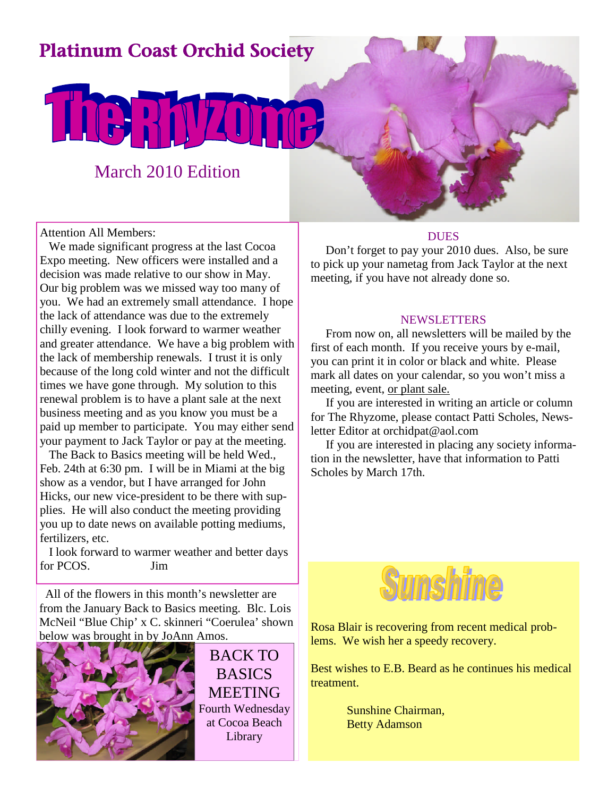## Platinum Coast Orchid Society

## March 2010 Edition

LIGRATZT

Attention All Members:

We made significant progress at the last Cocoa Expo meeting. New officers were installed and a decision was made relative to our show in May. Our big problem was we missed way too many of you. We had an extremely small attendance. I hope the lack of attendance was due to the extremely chilly evening. I look forward to warmer weather and greater attendance. We have a big problem with the lack of membership renewals. I trust it is only because of the long cold winter and not the difficult times we have gone through. My solution to this renewal problem is to have a plant sale at the next business meeting and as you know you must be a paid up member to participate. You may either send your payment to Jack Taylor or pay at the meeting.

The Back to Basics meeting will be held Wed., Feb. 24th at 6:30 pm. I will be in Miami at the big show as a vendor, but I have arranged for John Hicks, our new vice-president to be there with supplies. He will also conduct the meeting providing you up to date news on available potting mediums, fertilizers, etc.

I look forward to warmer weather and better days for PCOS. Jim

All of the flowers in this month's newsletter are from the January Back to Basics meeting. Blc. Lois McNeil "Blue Chip' x C. skinneri "Coerulea' shown below was brought in by JoAnn Amos.



BACK TO **BASICS** MEETING Fourth Wednesday at Cocoa Beach Library

#### **DUES**

Don't forget to pay your 2010 dues. Also, be sure to pick up your nametag from Jack Taylor at the next meeting, if you have not already done so.

#### **NEWSLETTERS**

From now on, all newsletters will be mailed by the first of each month. If you receive yours by e-mail, you can print it in color or black and white. Please mark all dates on your calendar, so you won't miss a meeting, event, or plant sale.

If you are interested in writing an article or column for The Rhyzome, please contact Patti Scholes, Newsletter Editor at orchidpat@aol.com

If you are interested in placing any society information in the newsletter, have that information to Patti Scholes by March 17th.



Rosa Blair is recovering from recent medical problems. We wish her a speedy recovery.

Best wishes to E.B. Beard as he continues his medical treatment.

> Sunshine Chairman, Betty Adamson